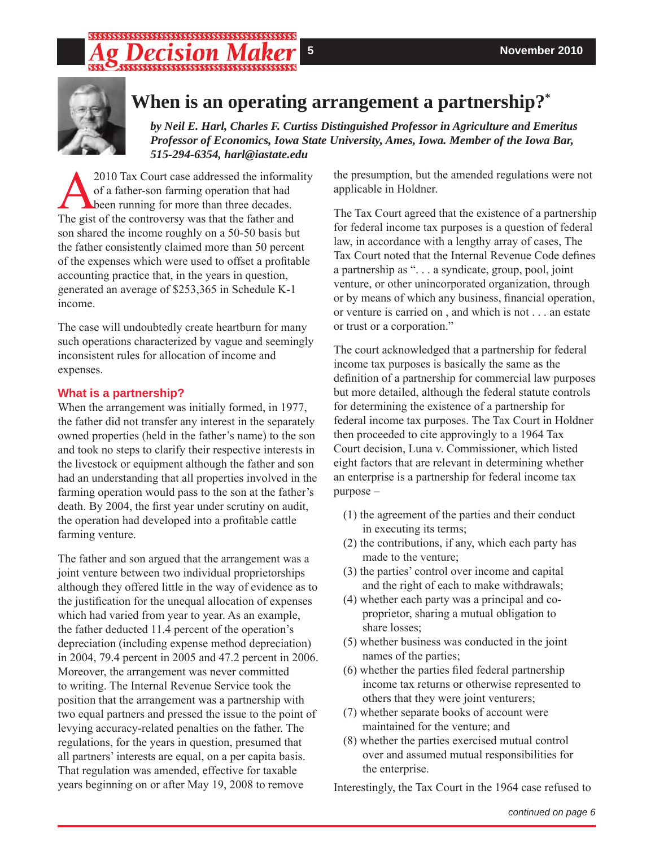# 



## **When is an operating arrangement a partnership?\***

*by Neil E. Harl, Charles F. Curtiss Distinguished Professor in Agriculture and Emeritus Professor of Economics, Iowa State University, Ames, Iowa. Member of the Iowa Bar, 515-294-6354, harl@iastate.edu*

A2010 Tax Court case addressed the informality of a father-son farming operation that had **b**een running for more than three decades. The gist of the controversy was that the father and son shared the income roughly on a 50-50 basis but the father consistently claimed more than 50 percent of the expenses which were used to offset a profitable accounting practice that, in the years in question, generated an average of \$253,365 in Schedule K-1 income.

The case will undoubtedly create heartburn for many such operations characterized by vague and seemingly inconsistent rules for allocation of income and expenses.

### **What is a partnership?**

When the arrangement was initially formed, in 1977, the father did not transfer any interest in the separately owned properties (held in the father's name) to the son and took no steps to clarify their respective interests in the livestock or equipment although the father and son had an understanding that all properties involved in the farming operation would pass to the son at the father's death. By 2004, the first year under scrutiny on audit, the operation had developed into a profitable cattle farming venture.

The father and son argued that the arrangement was a joint venture between two individual proprietorships although they offered little in the way of evidence as to the justification for the unequal allocation of expenses which had varied from year to year. As an example, the father deducted 11.4 percent of the operation's depreciation (including expense method depreciation) in 2004, 79.4 percent in 2005 and 47.2 percent in 2006. Moreover, the arrangement was never committed to writing. The Internal Revenue Service took the position that the arrangement was a partnership with two equal partners and pressed the issue to the point of levying accuracy-related penalties on the father. The regulations, for the years in question, presumed that all partners' interests are equal, on a per capita basis. That regulation was amended, effective for taxable years beginning on or after May 19, 2008 to remove

the presumption, but the amended regulations were not applicable in Holdner.

The Tax Court agreed that the existence of a partnership for federal income tax purposes is a question of federal law, in accordance with a lengthy array of cases, The Tax Court noted that the Internal Revenue Code defines a partnership as ". . . a syndicate, group, pool, joint venture, or other unincorporated organization, through or by means of which any business, financial operation, or venture is carried on , and which is not . . . an estate or trust or a corporation."

The court acknowledged that a partnership for federal income tax purposes is basically the same as the definition of a partnership for commercial law purposes but more detailed, although the federal statute controls for determining the existence of a partnership for federal income tax purposes. The Tax Court in Holdner then proceeded to cite approvingly to a 1964 Tax Court decision, Luna v. Commissioner, which listed eight factors that are relevant in determining whether an enterprise is a partnership for federal income tax purpose –

- (1) the agreement of the parties and their conduct in executing its terms;
- (2) the contributions, if any, which each party has made to the venture;
- (3) the parties' control over income and capital and the right of each to make withdrawals;
- (4) whether each party was a principal and coproprietor, sharing a mutual obligation to share losses;
- (5) whether business was conducted in the joint names of the parties;
- $(6)$  whether the parties filed federal partnership income tax returns or otherwise represented to others that they were joint venturers;
- (7) whether separate books of account were maintained for the venture; and
- (8) whether the parties exercised mutual control over and assumed mutual responsibilities for the enterprise.

Interestingly, the Tax Court in the 1964 case refused to